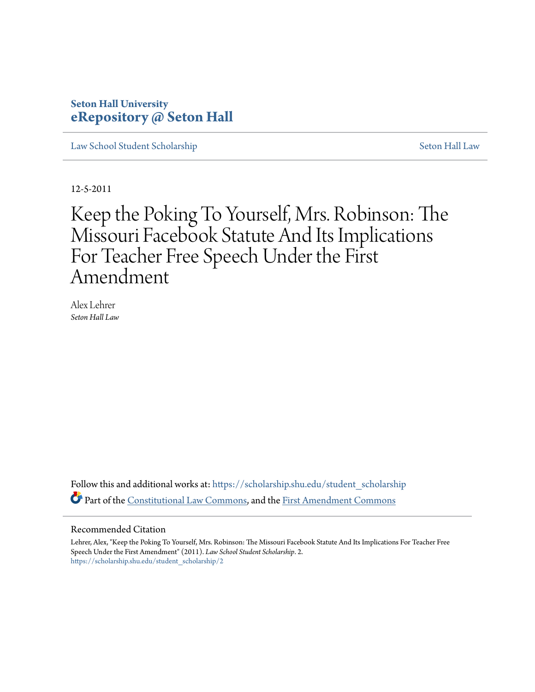# **Seton Hall University [eRepository @ Seton Hall](https://scholarship.shu.edu?utm_source=scholarship.shu.edu%2Fstudent_scholarship%2F2&utm_medium=PDF&utm_campaign=PDFCoverPages)**

[Law School Student Scholarship](https://scholarship.shu.edu/student_scholarship?utm_source=scholarship.shu.edu%2Fstudent_scholarship%2F2&utm_medium=PDF&utm_campaign=PDFCoverPages) [Seton Hall Law](https://scholarship.shu.edu/law?utm_source=scholarship.shu.edu%2Fstudent_scholarship%2F2&utm_medium=PDF&utm_campaign=PDFCoverPages)

12-5-2011

Keep the Poking To Yourself, Mrs. Robinson: The Missouri Facebook Statute And Its Implications For Teacher Free Speech Under the First Amendment

Alex Lehrer *Seton Hall Law*

Follow this and additional works at: [https://scholarship.shu.edu/student\\_scholarship](https://scholarship.shu.edu/student_scholarship?utm_source=scholarship.shu.edu%2Fstudent_scholarship%2F2&utm_medium=PDF&utm_campaign=PDFCoverPages) Part of the [Constitutional Law Commons,](http://network.bepress.com/hgg/discipline/589?utm_source=scholarship.shu.edu%2Fstudent_scholarship%2F2&utm_medium=PDF&utm_campaign=PDFCoverPages) and the [First Amendment Commons](http://network.bepress.com/hgg/discipline/1115?utm_source=scholarship.shu.edu%2Fstudent_scholarship%2F2&utm_medium=PDF&utm_campaign=PDFCoverPages)

#### Recommended Citation

Lehrer, Alex, "Keep the Poking To Yourself, Mrs. Robinson: The Missouri Facebook Statute And Its Implications For Teacher Free Speech Under the First Amendment" (2011). *Law School Student Scholarship*. 2. [https://scholarship.shu.edu/student\\_scholarship/2](https://scholarship.shu.edu/student_scholarship/2?utm_source=scholarship.shu.edu%2Fstudent_scholarship%2F2&utm_medium=PDF&utm_campaign=PDFCoverPages)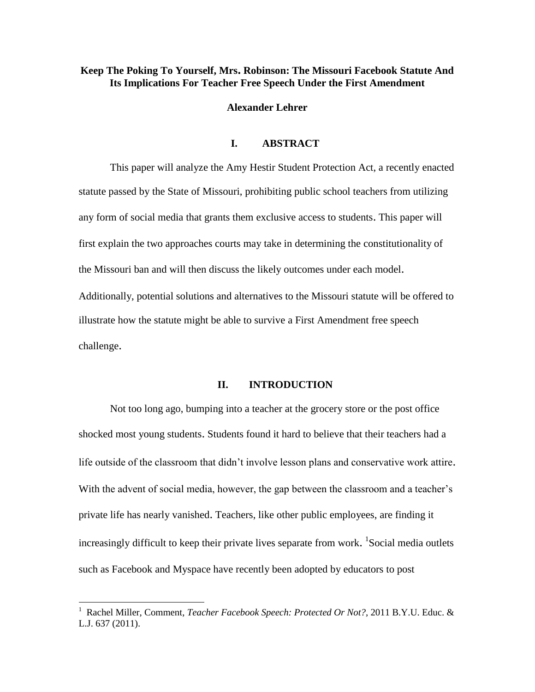#### **Keep The Poking To Yourself, Mrs. Robinson: The Missouri Facebook Statute And Its Implications For Teacher Free Speech Under the First Amendment**

**Alexander Lehrer**

#### **I. ABSTRACT**

This paper will analyze the Amy Hestir Student Protection Act, a recently enacted statute passed by the State of Missouri, prohibiting public school teachers from utilizing any form of social media that grants them exclusive access to students. This paper will first explain the two approaches courts may take in determining the constitutionality of the Missouri ban and will then discuss the likely outcomes under each model. Additionally, potential solutions and alternatives to the Missouri statute will be offered to illustrate how the statute might be able to survive a First Amendment free speech challenge.

#### **II. INTRODUCTION**

Not too long ago, bumping into a teacher at the grocery store or the post office shocked most young students. Students found it hard to believe that their teachers had a life outside of the classroom that didn't involve lesson plans and conservative work attire. With the advent of social media, however, the gap between the classroom and a teacher's private life has nearly vanished. Teachers, like other public employees, are finding it increasingly difficult to keep their private lives separate from work. <sup>1</sup>Social media outlets such as Facebook and Myspace have recently been adopted by educators to post

 1 Rachel Miller, Comment, *Teacher Facebook Speech: Protected Or Not?*, 2011 B.Y.U. Educ. & L.J. 637 (2011).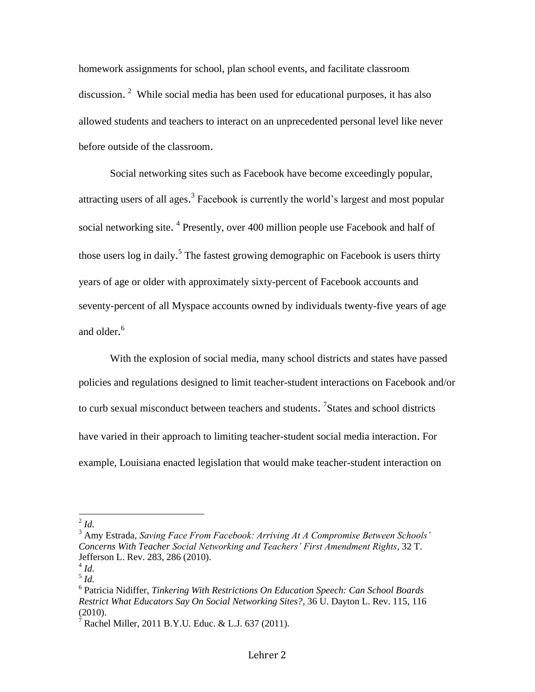homework assignments for school, plan school events, and facilitate classroom discussion.<sup>2</sup> While social media has been used for educational purposes, it has also allowed students and teachers to interact on an unprecedented personal level like never before outside of the classroom.

Social networking sites such as Facebook have become exceedingly popular, attracting users of all ages.<sup>3</sup> Facebook is currently the world's largest and most popular social networking site. <sup>4</sup> Presently, over 400 million people use Facebook and half of those users log in daily.<sup>5</sup> The fastest growing demographic on Facebook is users thirty years of age or older with approximately sixty-percent of Facebook accounts and seventy-percent of all Myspace accounts owned by individuals twenty-five years of age and older. 6

With the explosion of social media, many school districts and states have passed policies and regulations designed to limit teacher-student interactions on Facebook and/or to curb sexual misconduct between teachers and students. <sup>7</sup>States and school districts have varied in their approach to limiting teacher-student social media interaction. For example, Louisiana enacted legislation that would make teacher-student interaction on

 $\frac{2}{1}$ *Id.* 

<sup>3</sup> Amy Estrada, *Saving Face From Facebook: Arriving At A Compromise Between Schools' Concerns With Teacher Social Networking and Teachers' First Amendment Rights*, 32 T. Jefferson L. Rev. 283, 286 (2010).

<sup>4</sup> *Id.*

<sup>5</sup> *Id.*

<sup>6</sup> Patricia Nidiffer, *Tinkering With Restrictions On Education Speech: Can School Boards Restrict What Educators Say On Social Networking Sites?*, 36 U. Dayton L. Rev. 115, 116  $(2010).$ 

<sup>&</sup>lt;sup>7</sup> Rachel Miller, 2011 B.Y.U. Educ. & L.J. 637 (2011).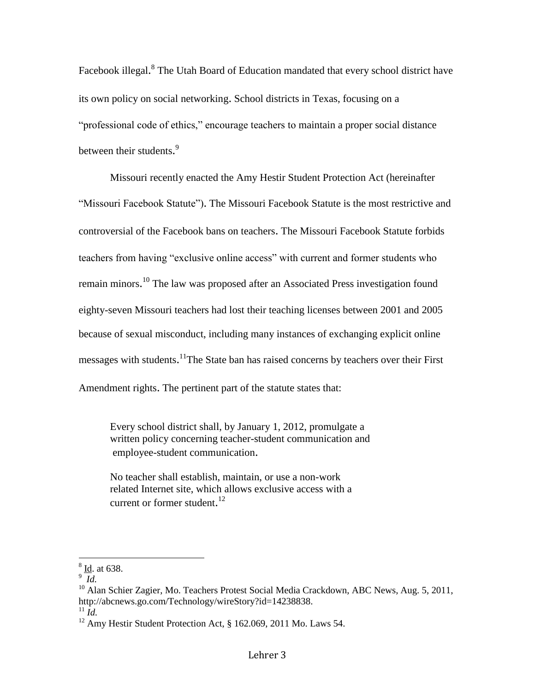Facebook illegal.<sup>8</sup> The Utah Board of Education mandated that every school district have its own policy on social networking. School districts in Texas, focusing on a "professional code of ethics," encourage teachers to maintain a proper social distance between their students.<sup>9</sup>

Missouri recently enacted the Amy Hestir Student Protection Act (hereinafter "Missouri Facebook Statute"). The Missouri Facebook Statute is the most restrictive and controversial of the Facebook bans on teachers. The Missouri Facebook Statute forbids teachers from having "exclusive online access" with current and former students who remain minors.<sup>10</sup> The law was proposed after an Associated Press investigation found eighty-seven Missouri teachers had lost their teaching licenses between 2001 and 2005 because of sexual misconduct, including many instances of exchanging explicit online messages with students.<sup>11</sup>The State ban has raised concerns by teachers over their First Amendment rights. The pertinent part of the statute states that:

Every school district shall, by January 1, 2012, promulgate a written policy concerning teacher-student communication and employee-student communication.

No teacher shall establish, maintain, or use a non-work related Internet site, which allows exclusive access with a current or former student.<sup>12</sup>

 $\frac{8}{10}$ . at 638.

<sup>9</sup> *Id.*

<sup>&</sup>lt;sup>10</sup> Alan Schier Zagier, Mo. Teachers Protest Social Media Crackdown, ABC News, Aug. 5, 2011, http://abcnews.go.com/Technology/wireStory?id=14238838.

 $^{11}$ *Id.* 

<sup>&</sup>lt;sup>12</sup> Amy Hestir Student Protection Act, § 162.069, 2011 Mo. Laws 54.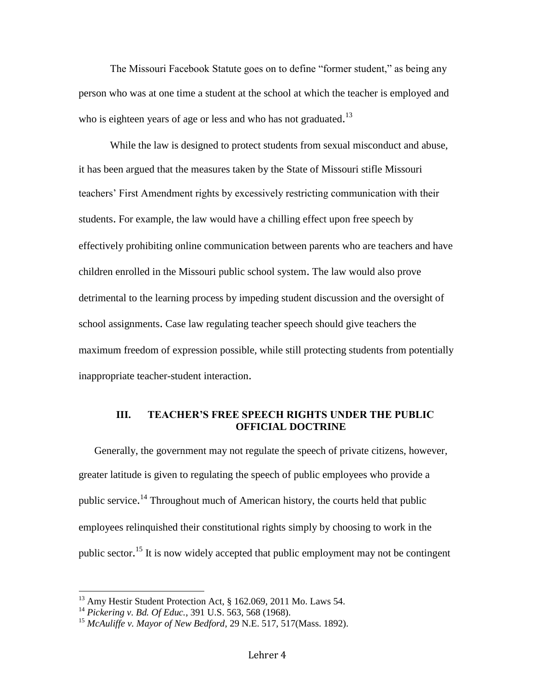The Missouri Facebook Statute goes on to define "former student," as being any person who was at one time a student at the school at which the teacher is employed and who is eighteen years of age or less and who has not graduated.<sup>13</sup>

While the law is designed to protect students from sexual misconduct and abuse, it has been argued that the measures taken by the State of Missouri stifle Missouri teachers' First Amendment rights by excessively restricting communication with their students. For example, the law would have a chilling effect upon free speech by effectively prohibiting online communication between parents who are teachers and have children enrolled in the Missouri public school system. The law would also prove detrimental to the learning process by impeding student discussion and the oversight of school assignments. Case law regulating teacher speech should give teachers the maximum freedom of expression possible, while still protecting students from potentially inappropriate teacher-student interaction.

# **III. TEACHER'S FREE SPEECH RIGHTS UNDER THE PUBLIC OFFICIAL DOCTRINE**

Generally, the government may not regulate the speech of private citizens, however, greater latitude is given to regulating the speech of public employees who provide a public service.<sup>14</sup> Throughout much of American history, the courts held that public employees relinquished their constitutional rights simply by choosing to work in the public sector.<sup>15</sup> It is now widely accepted that public employment may not be contingent

<sup>&</sup>lt;sup>13</sup> Amy Hestir Student Protection Act, § 162.069, 2011 Mo. Laws 54.

<sup>14</sup> *Pickering v. Bd. Of Educ.*, 391 U.S. 563, 568 (1968).

<sup>15</sup> *McAuliffe v. Mayor of New Bedford*, 29 N.E. 517, 517(Mass. 1892).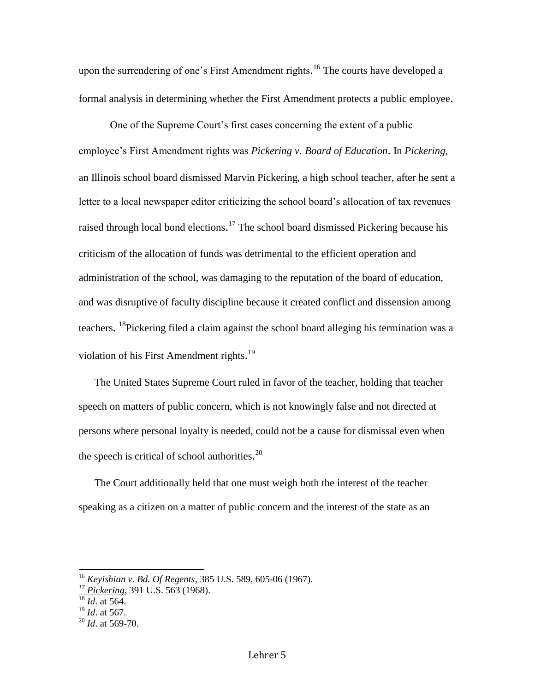upon the surrendering of one's First Amendment rights.<sup>16</sup> The courts have developed a formal analysis in determining whether the First Amendment protects a public employee.

One of the Supreme Court's first cases concerning the extent of a public employee's First Amendment rights was *Pickering v. Board of Education*. In *Pickering*, an Illinois school board dismissed Marvin Pickering, a high school teacher, after he sent a letter to a local newspaper editor criticizing the school board's allocation of tax revenues raised through local bond elections.<sup>17</sup> The school board dismissed Pickering because his criticism of the allocation of funds was detrimental to the efficient operation and administration of the school, was damaging to the reputation of the board of education, and was disruptive of faculty discipline because it created conflict and dissension among teachers. <sup>18</sup>Pickering filed a claim against the school board alleging his termination was a violation of his First Amendment rights.<sup>19</sup>

The United States Supreme Court ruled in favor of the teacher, holding that teacher speech on matters of public concern, which is not knowingly false and not directed at persons where personal loyalty is needed, could not be a cause for dismissal even when the speech is critical of school authorities. $^{20}$ 

The Court additionally held that one must weigh both the interest of the teacher speaking as a citizen on a matter of public concern and the interest of the state as an

<sup>16</sup> *Keyishian v. Bd. Of Regents*, 385 U.S. 589, 605-06 (1967).

*<sup>17</sup> Pickering*, 391 U.S. 563 (1968).

 $\frac{18}{16}$  *Id.* at 564.

<sup>19</sup> *Id*. at 567.

<sup>20</sup> *Id*. at 569-70.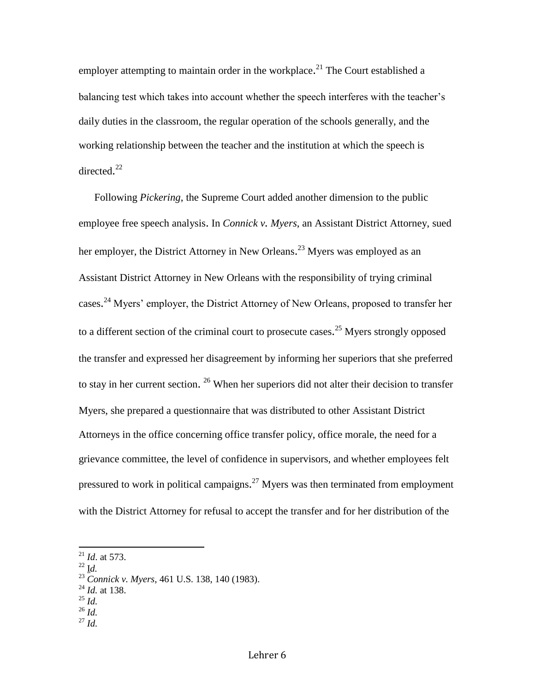employer attempting to maintain order in the workplace.<sup>21</sup> The Court established a balancing test which takes into account whether the speech interferes with the teacher's daily duties in the classroom, the regular operation of the schools generally, and the working relationship between the teacher and the institution at which the speech is directed.<sup>22</sup>

Following *Pickering*, the Supreme Court added another dimension to the public employee free speech analysis. In *Connick v. Myers*, an Assistant District Attorney, sued her employer, the District Attorney in New Orleans.<sup>23</sup> Myers was employed as an Assistant District Attorney in New Orleans with the responsibility of trying criminal cases.<sup>24</sup> Myers' employer, the District Attorney of New Orleans, proposed to transfer her to a different section of the criminal court to prosecute cases.<sup>25</sup> Myers strongly opposed the transfer and expressed her disagreement by informing her superiors that she preferred to stay in her current section. <sup>26</sup> When her superiors did not alter their decision to transfer Myers, she prepared a questionnaire that was distributed to other Assistant District Attorneys in the office concerning office transfer policy, office morale, the need for a grievance committee, the level of confidence in supervisors, and whether employees felt pressured to work in political campaigns.<sup>27</sup> Myers was then terminated from employment with the District Attorney for refusal to accept the transfer and for her distribution of the

- <sup>24</sup> *Id.* at 138.
- <sup>25</sup> *Id.*
- $^{26}$  *Id.*
- <sup>27</sup> *Id.*

<sup>21</sup> *Id*. at 573.

 $^{22}$  I*d*.

<sup>23</sup> *Connick v. Myers*, 461 U.S. 138, 140 (1983).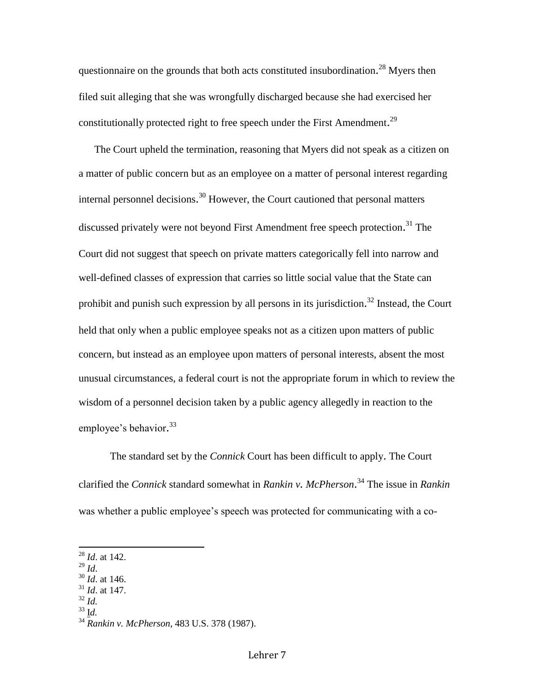questionnaire on the grounds that both acts constituted insubordination.<sup>28</sup> Myers then filed suit alleging that she was wrongfully discharged because she had exercised her constitutionally protected right to free speech under the First Amendment.<sup>29</sup>

The Court upheld the termination, reasoning that Myers did not speak as a citizen on a matter of public concern but as an employee on a matter of personal interest regarding internal personnel decisions. <sup>30</sup> However, the Court cautioned that personal matters discussed privately were not beyond First Amendment free speech protection. <sup>31</sup> The Court did not suggest that speech on private matters categorically fell into narrow and well-defined classes of expression that carries so little social value that the State can prohibit and punish such expression by all persons in its jurisdiction.<sup>32</sup> Instead, the Court held that only when a public employee speaks not as a citizen upon matters of public concern, but instead as an employee upon matters of personal interests, absent the most unusual circumstances, a federal court is not the appropriate forum in which to review the wisdom of a personnel decision taken by a public agency allegedly in reaction to the employee's behavior.<sup>33</sup>

The standard set by the *Connick* Court has been difficult to apply. The Court clarified the *Connick* standard somewhat in *Rankin v. McPherson*. <sup>34</sup> The issue in *Rankin* was whether a public employee's speech was protected for communicating with a co-

<sup>29</sup> *Id*.

- <sup>30</sup> *Id*. at 146.
- <sup>31</sup> *Id*. at 147.  $32$  *Id.*
- 
- <sup>33</sup> I*d.*

<sup>28</sup> *Id*. at 142.

<sup>34</sup> *Rankin v. McPherson*, 483 U.S. 378 (1987).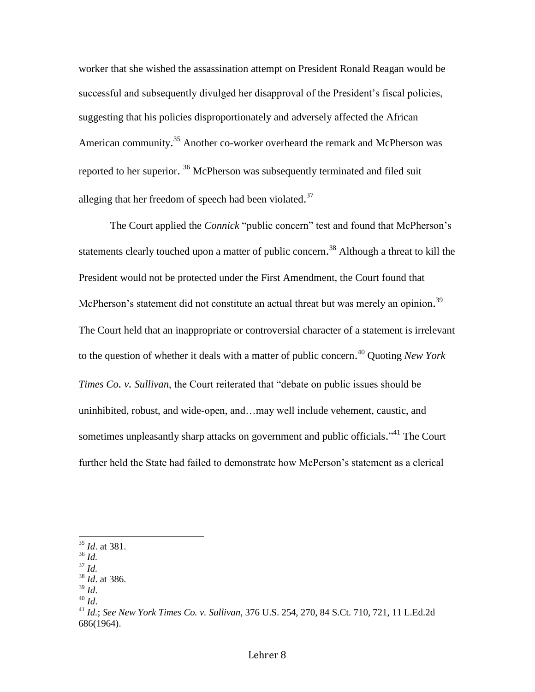worker that she wished the assassination attempt on President Ronald Reagan would be successful and subsequently divulged her disapproval of the President's fiscal policies, suggesting that his policies disproportionately and adversely affected the African American community.<sup>35</sup> Another co-worker overheard the remark and McPherson was reported to her superior. <sup>36</sup> McPherson was subsequently terminated and filed suit alleging that her freedom of speech had been violated.<sup>37</sup>

The Court applied the *Connick* "public concern" test and found that McPherson's statements clearly touched upon a matter of public concern.<sup>38</sup> Although a threat to kill the President would not be protected under the First Amendment, the Court found that McPherson's statement did not constitute an actual threat but was merely an opinion.<sup>39</sup> The Court held that an inappropriate or controversial character of a statement is irrelevant to the question of whether it deals with a matter of public concern. <sup>40</sup> Quoting *New York Times Co. v. Sullivan*, the Court reiterated that "debate on public issues should be uninhibited, robust, and wide-open, and…may well include vehement, caustic, and sometimes unpleasantly sharp attacks on government and public officials."<sup>41</sup> The Court further held the State had failed to demonstrate how McPerson's statement as a clerical

<sup>35</sup> *Id*. at 381.

<sup>36</sup> *Id.*

<sup>37</sup> *Id.*

<sup>38</sup> *Id*. at 386.

 $39$  *Id.* 

<sup>40</sup> *Id*.

<sup>41</sup> *Id.*; *See New York Times Co. v. Sullivan*, 376 U.S. 254, 270, 84 S.Ct. 710, 721, 11 L.Ed.2d 686(1964).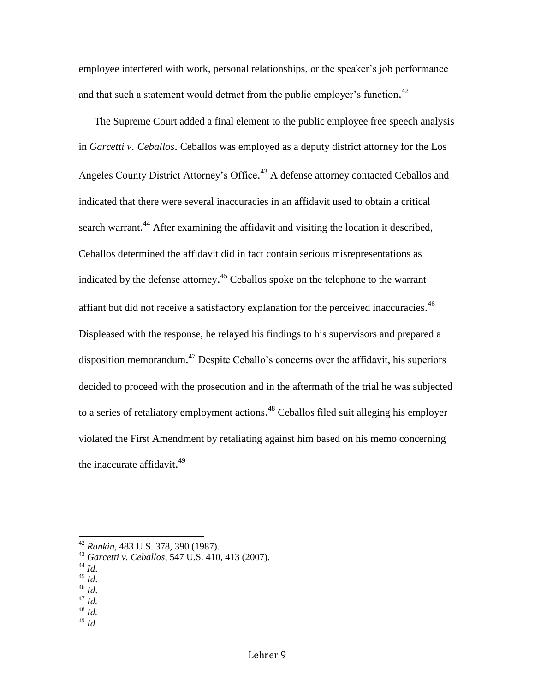employee interfered with work, personal relationships, or the speaker's job performance and that such a statement would detract from the public employer's function.<sup>42</sup>

The Supreme Court added a final element to the public employee free speech analysis in *Garcetti v. Ceballos*. Ceballos was employed as a deputy district attorney for the Los Angeles County District Attorney's Office.<sup>43</sup> A defense attorney contacted Ceballos and indicated that there were several inaccuracies in an affidavit used to obtain a critical search warrant.<sup>44</sup> After examining the affidavit and visiting the location it described, Ceballos determined the affidavit did in fact contain serious misrepresentations as indicated by the defense attorney.<sup>45</sup> Ceballos spoke on the telephone to the warrant affiant but did not receive a satisfactory explanation for the perceived inaccuracies.<sup>46</sup> Displeased with the response, he relayed his findings to his supervisors and prepared a disposition memorandum.<sup>47</sup> Despite Ceballo's concerns over the affidavit, his superiors decided to proceed with the prosecution and in the aftermath of the trial he was subjected to a series of retaliatory employment actions.<sup>48</sup> Ceballos filed suit alleging his employer violated the First Amendment by retaliating against him based on his memo concerning the inaccurate affidavit.<sup>49</sup>

<sup>44</sup> *Id*.

- <sup>45</sup> *Id*.
- <sup>46</sup> *Id*. <sup>47</sup> *Id.*
- 
- <sup>48</sup> *Id.*  <sup>49</sup> *Id.*
- 

<sup>42</sup> *Rankin*, 483 U.S. 378, 390 (1987).

<sup>43</sup> *Garcetti v. Ceballos*, 547 U.S. 410, 413 (2007).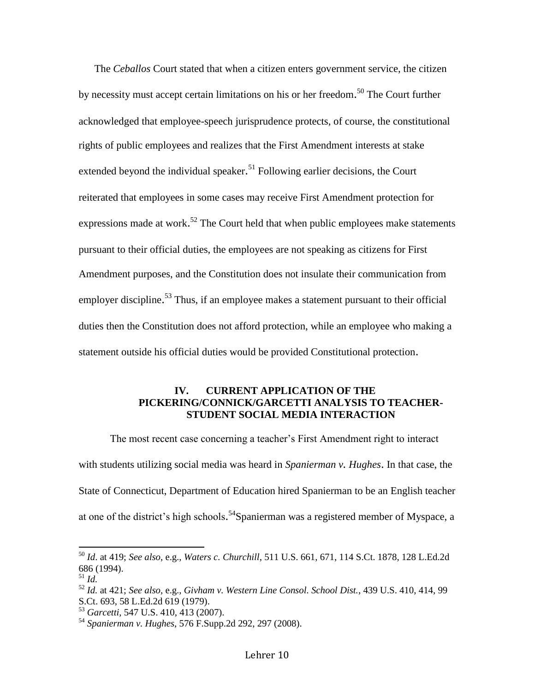The *Ceballos* Court stated that when a citizen enters government service, the citizen by necessity must accept certain limitations on his or her freedom.<sup>50</sup> The Court further acknowledged that employee-speech jurisprudence protects, of course, the constitutional rights of public employees and realizes that the First Amendment interests at stake extended beyond the individual speaker.<sup>51</sup> Following earlier decisions, the Court reiterated that employees in some cases may receive First Amendment protection for expressions made at work.<sup>52</sup> The Court held that when public employees make statements pursuant to their official duties, the employees are not speaking as citizens for First Amendment purposes, and the Constitution does not insulate their communication from employer discipline.<sup>53</sup> Thus, if an employee makes a statement pursuant to their official duties then the Constitution does not afford protection, while an employee who making a statement outside his official duties would be provided Constitutional protection.

## **IV. CURRENT APPLICATION OF THE PICKERING/CONNICK/GARCETTI ANALYSIS TO TEACHER-STUDENT SOCIAL MEDIA INTERACTION**

The most recent case concerning a teacher's First Amendment right to interact with students utilizing social media was heard in *Spanierman v. Hughes*. In that case, the State of Connecticut, Department of Education hired Spanierman to be an English teacher at one of the district's high schools.<sup>54</sup>Spanierman was a registered member of Myspace, a

<sup>50</sup> *Id*. at 419; *See also*, e.g., *Waters c. Churchill*, 511 U.S. 661, 671, 114 S.Ct. 1878, 128 L.Ed.2d 686 (1994).

<sup>51</sup> *Id.*

<sup>52</sup> *Id.* at 421; *See also*, e.g., *Givham v. Western Line Consol. School Dist.*, 439 U.S. 410, 414, 99 S.Ct. 693, 58 L.Ed.2d 619 (1979).

<sup>53</sup> *Garcetti*, 547 U.S. 410, 413 (2007).

<sup>54</sup> *Spanierman v. Hughes*, 576 F.Supp.2d 292, 297 (2008).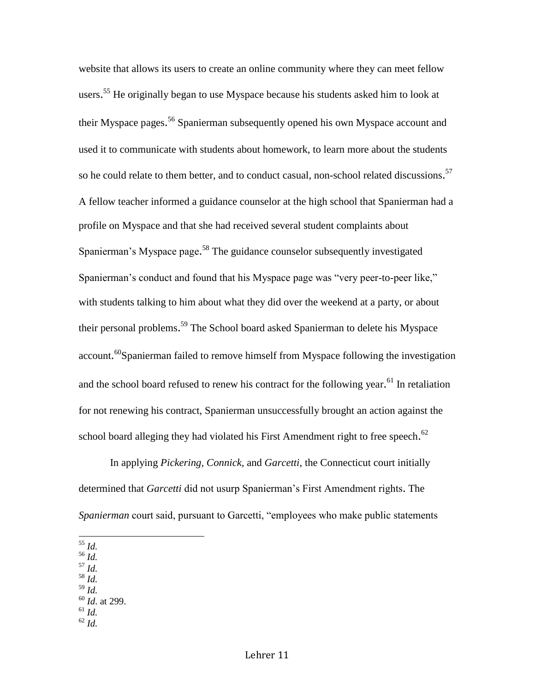website that allows its users to create an online community where they can meet fellow users.<sup>55</sup> He originally began to use Myspace because his students asked him to look at their Myspace pages.<sup>56</sup> Spanierman subsequently opened his own Myspace account and used it to communicate with students about homework, to learn more about the students so he could relate to them better, and to conduct casual, non-school related discussions.<sup>57</sup> A fellow teacher informed a guidance counselor at the high school that Spanierman had a profile on Myspace and that she had received several student complaints about Spanierman's Myspace page.<sup>58</sup> The guidance counselor subsequently investigated Spanierman's conduct and found that his Myspace page was "very peer-to-peer like," with students talking to him about what they did over the weekend at a party, or about their personal problems.<sup>59</sup> The School board asked Spanierman to delete his Myspace account.<sup>60</sup>Spanierman failed to remove himself from Myspace following the investigation and the school board refused to renew his contract for the following year.<sup>61</sup> In retaliation for not renewing his contract, Spanierman unsuccessfully brought an action against the school board alleging they had violated his First Amendment right to free speech.<sup>62</sup>

In applying *Pickering, Connick,* and *Garcetti*, the Connecticut court initially determined that *Garcetti* did not usurp Spanierman's First Amendment rights. The *Spanierman* court said, pursuant to Garcetti, "employees who make public statements

- $\overline{a}$ <sup>55</sup> *Id.*
- <sup>56</sup> *Id.*
- <sup>57</sup> *Id.*
- <sup>58</sup> *Id.*
- <sup>59</sup> *Id.*
- <sup>60</sup> *Id*. at 299.
- <sup>61</sup> *Id.* <sup>62</sup> *Id.*
-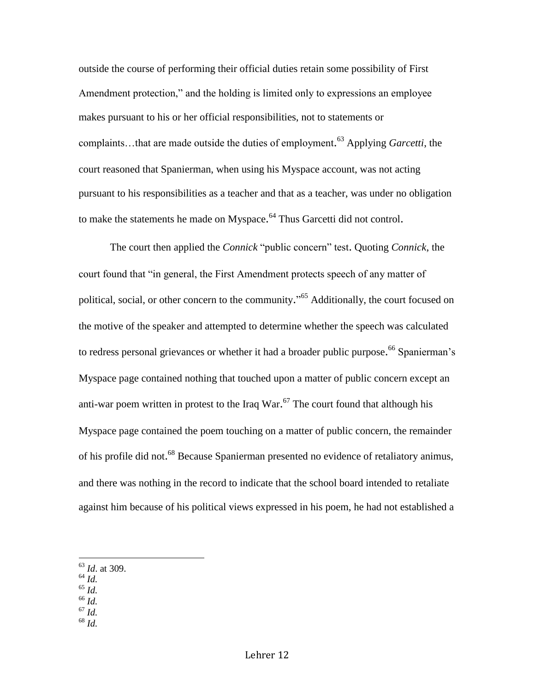outside the course of performing their official duties retain some possibility of First Amendment protection," and the holding is limited only to expressions an employee makes pursuant to his or her official responsibilities, not to statements or complaints…that are made outside the duties of employment. <sup>63</sup> Applying *Garcetti*, the court reasoned that Spanierman, when using his Myspace account, was not acting pursuant to his responsibilities as a teacher and that as a teacher, was under no obligation to make the statements he made on Myspace.<sup>64</sup> Thus Garcetti did not control.

The court then applied the *Connick* "public concern" test. Quoting *Connick*, the court found that "in general, the First Amendment protects speech of any matter of political, social, or other concern to the community."<sup>65</sup> Additionally, the court focused on the motive of the speaker and attempted to determine whether the speech was calculated to redress personal grievances or whether it had a broader public purpose.<sup>66</sup> Spanierman's Myspace page contained nothing that touched upon a matter of public concern except an anti-war poem written in protest to the Iraq War.<sup>67</sup> The court found that although his Myspace page contained the poem touching on a matter of public concern, the remainder of his profile did not.<sup>68</sup> Because Spanierman presented no evidence of retaliatory animus, and there was nothing in the record to indicate that the school board intended to retaliate against him because of his political views expressed in his poem, he had not established a

<sup>64</sup> *Id.*

- <sup>65</sup> *Id.*
- <sup>66</sup> *Id.*
- <sup>67</sup> *Id.*
- <sup>68</sup> *Id.*

<sup>63</sup> *Id*. at 309.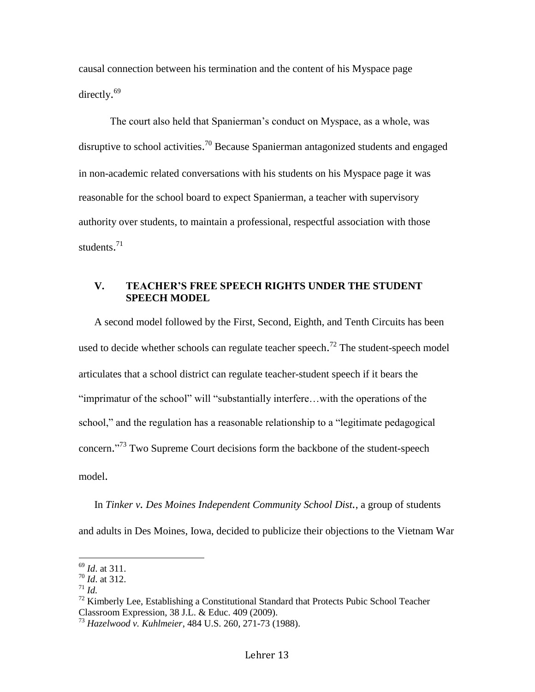causal connection between his termination and the content of his Myspace page directly.<sup>69</sup>

The court also held that Spanierman's conduct on Myspace, as a whole, was disruptive to school activities.<sup>70</sup> Because Spanierman antagonized students and engaged in non-academic related conversations with his students on his Myspace page it was reasonable for the school board to expect Spanierman, a teacher with supervisory authority over students, to maintain a professional, respectful association with those students. 71

## **V. TEACHER'S FREE SPEECH RIGHTS UNDER THE STUDENT SPEECH MODEL**

A second model followed by the First, Second, Eighth, and Tenth Circuits has been used to decide whether schools can regulate teacher speech.<sup>72</sup> The student-speech model articulates that a school district can regulate teacher-student speech if it bears the "imprimatur of the school" will "substantially interfere…with the operations of the school," and the regulation has a reasonable relationship to a "legitimate pedagogical concern."<sup>73</sup> Two Supreme Court decisions form the backbone of the student-speech model.

In *Tinker v. Des Moines Independent Community School Dist.*, a group of students and adults in Des Moines, Iowa, decided to publicize their objections to the Vietnam War

<sup>69</sup> *Id*. at 311.

<sup>70</sup> *Id*. at 312.

 $^{71}$  *Id.* 

 $72$  Kimberly Lee, Establishing a Constitutional Standard that Protects Pubic School Teacher Classroom Expression, 38 J.L. & Educ. 409 (2009).

<sup>73</sup> *Hazelwood v. Kuhlmeier*, 484 U.S. 260, 271-73 (1988).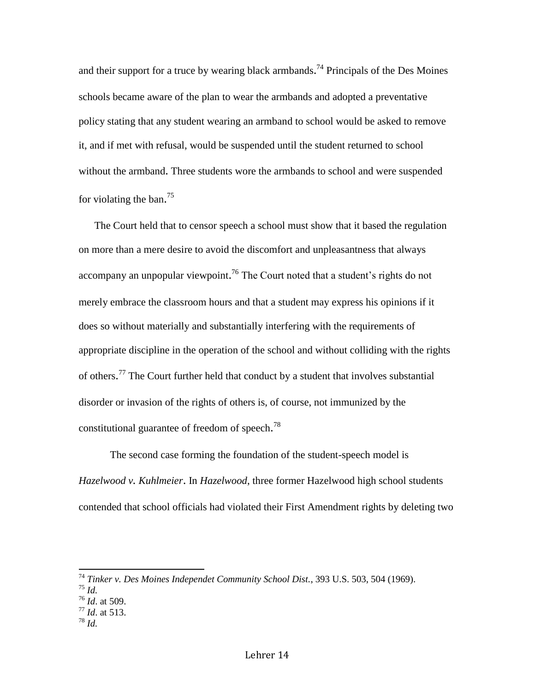and their support for a truce by wearing black armbands.<sup>74</sup> Principals of the Des Moines schools became aware of the plan to wear the armbands and adopted a preventative policy stating that any student wearing an armband to school would be asked to remove it, and if met with refusal, would be suspended until the student returned to school without the armband. Three students wore the armbands to school and were suspended for violating the ban.<sup>75</sup>

The Court held that to censor speech a school must show that it based the regulation on more than a mere desire to avoid the discomfort and unpleasantness that always accompany an unpopular viewpoint.<sup>76</sup> The Court noted that a student's rights do not merely embrace the classroom hours and that a student may express his opinions if it does so without materially and substantially interfering with the requirements of appropriate discipline in the operation of the school and without colliding with the rights of others.<sup>77</sup> The Court further held that conduct by a student that involves substantial disorder or invasion of the rights of others is, of course, not immunized by the constitutional guarantee of freedom of speech.<sup>78</sup>

The second case forming the foundation of the student-speech model is *Hazelwood v. Kuhlmeier*. In *Hazelwood*, three former Hazelwood high school students contended that school officials had violated their First Amendment rights by deleting two

- <sup>77</sup> *Id*. at 513.
- <sup>78</sup> *Id.*

<sup>74</sup> *Tinker v. Des Moines Independet Community School Dist.*, 393 U.S. 503, 504 (1969).

<sup>75</sup> *Id.*

<sup>76</sup> *Id*. at 509.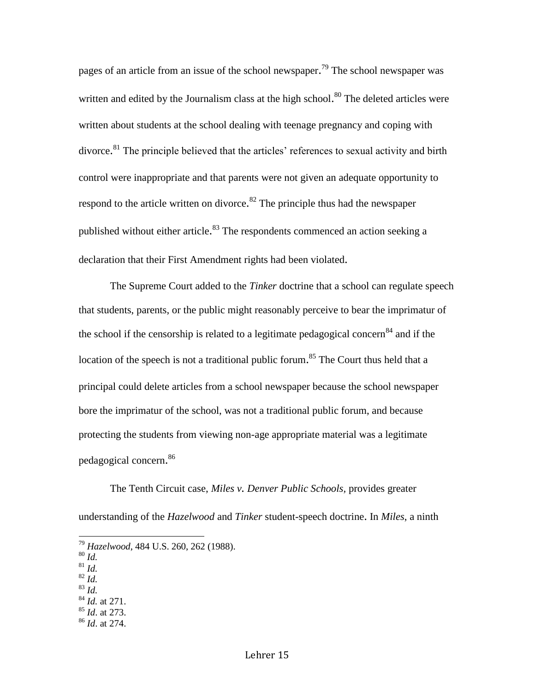pages of an article from an issue of the school newspaper.<sup>79</sup> The school newspaper was written and edited by the Journalism class at the high school.<sup>80</sup> The deleted articles were written about students at the school dealing with teenage pregnancy and coping with divorce.<sup>81</sup> The principle believed that the articles' references to sexual activity and birth control were inappropriate and that parents were not given an adequate opportunity to respond to the article written on divorce.<sup>82</sup> The principle thus had the newspaper published without either article.<sup>83</sup> The respondents commenced an action seeking a declaration that their First Amendment rights had been violated.

The Supreme Court added to the *Tinker* doctrine that a school can regulate speech that students, parents, or the public might reasonably perceive to bear the imprimatur of the school if the censorship is related to a legitimate pedagogical concern<sup>84</sup> and if the location of the speech is not a traditional public forum.<sup>85</sup> The Court thus held that a principal could delete articles from a school newspaper because the school newspaper bore the imprimatur of the school, was not a traditional public forum, and because protecting the students from viewing non-age appropriate material was a legitimate pedagogical concern. 86

The Tenth Circuit case, *Miles v. Denver Public Schools,* provides greater understanding of the *Hazelwood* and *Tinker* student-speech doctrine. In *Miles*, a ninth

- <sup>81</sup> *Id.*
- <sup>82</sup> *Id.* <sup>83</sup> *Id.*
- <sup>84</sup> *Id.* at 271.
- <sup>85</sup> *Id*. at 273.
- <sup>86</sup> *Id*. at 274.

<sup>79</sup> *Hazelwood*, 484 U.S. 260, 262 (1988).

<sup>80</sup> *Id.*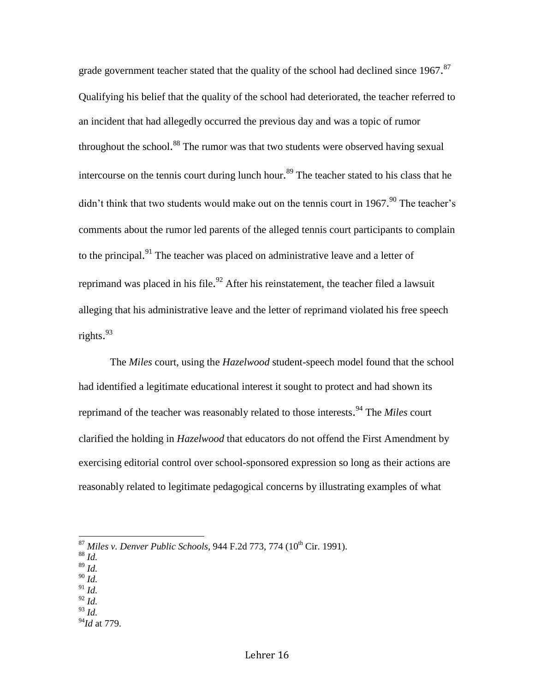grade government teacher stated that the quality of the school had declined since 1967.<sup>87</sup> Qualifying his belief that the quality of the school had deteriorated, the teacher referred to an incident that had allegedly occurred the previous day and was a topic of rumor throughout the school.<sup>88</sup> The rumor was that two students were observed having sexual intercourse on the tennis court during lunch hour.<sup>89</sup> The teacher stated to his class that he didn't think that two students would make out on the tennis court in 1967.<sup>90</sup> The teacher's comments about the rumor led parents of the alleged tennis court participants to complain to the principal.<sup>91</sup> The teacher was placed on administrative leave and a letter of reprimand was placed in his file.<sup>92</sup> After his reinstatement, the teacher filed a lawsuit alleging that his administrative leave and the letter of reprimand violated his free speech rights. 93

The *Miles* court, using the *Hazelwood* student-speech model found that the school had identified a legitimate educational interest it sought to protect and had shown its reprimand of the teacher was reasonably related to those interests. <sup>94</sup> The *Miles* court clarified the holding in *Hazelwood* that educators do not offend the First Amendment by exercising editorial control over school-sponsored expression so long as their actions are reasonably related to legitimate pedagogical concerns by illustrating examples of what

- <sup>89</sup> *Id.*
- <sup>90</sup> *Id.* <sup>91</sup> *Id.*
- $\int_{92}^{12}$  *Id.*
- <sup>93</sup> *Id.*
- <sup>94</sup>*Id* at 779.

<sup>&</sup>lt;sup>87</sup> Miles v. Denver Public Schools, 944 F.2d 773, 774 (10<sup>th</sup> Cir. 1991).

<sup>88</sup> *Id.*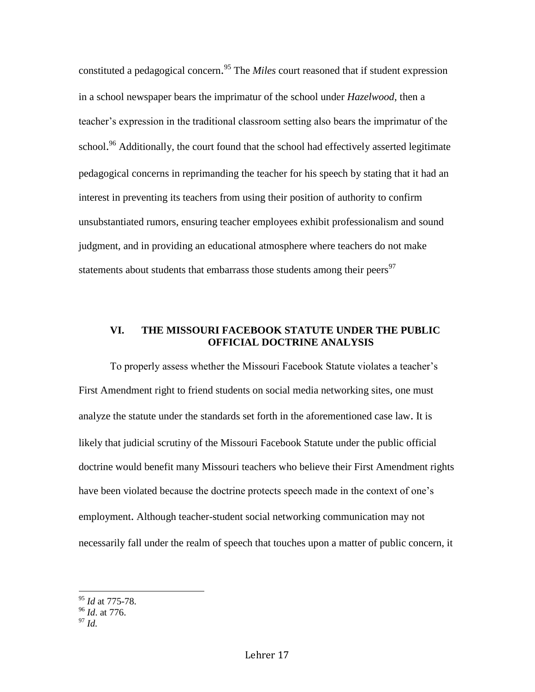constituted a pedagogical concern. <sup>95</sup> The *Miles* court reasoned that if student expression in a school newspaper bears the imprimatur of the school under *Hazelwood*, then a teacher's expression in the traditional classroom setting also bears the imprimatur of the school.<sup>96</sup> Additionally, the court found that the school had effectively asserted legitimate pedagogical concerns in reprimanding the teacher for his speech by stating that it had an interest in preventing its teachers from using their position of authority to confirm unsubstantiated rumors, ensuring teacher employees exhibit professionalism and sound judgment, and in providing an educational atmosphere where teachers do not make statements about students that embarrass those students among their peers<sup>97</sup>

# **VI. THE MISSOURI FACEBOOK STATUTE UNDER THE PUBLIC OFFICIAL DOCTRINE ANALYSIS**

To properly assess whether the Missouri Facebook Statute violates a teacher's First Amendment right to friend students on social media networking sites, one must analyze the statute under the standards set forth in the aforementioned case law. It is likely that judicial scrutiny of the Missouri Facebook Statute under the public official doctrine would benefit many Missouri teachers who believe their First Amendment rights have been violated because the doctrine protects speech made in the context of one's employment. Although teacher-student social networking communication may not necessarily fall under the realm of speech that touches upon a matter of public concern, it

<sup>97</sup> *Id.*

<sup>95</sup> *Id* at 775-78.

<sup>96</sup> *Id*. at 776.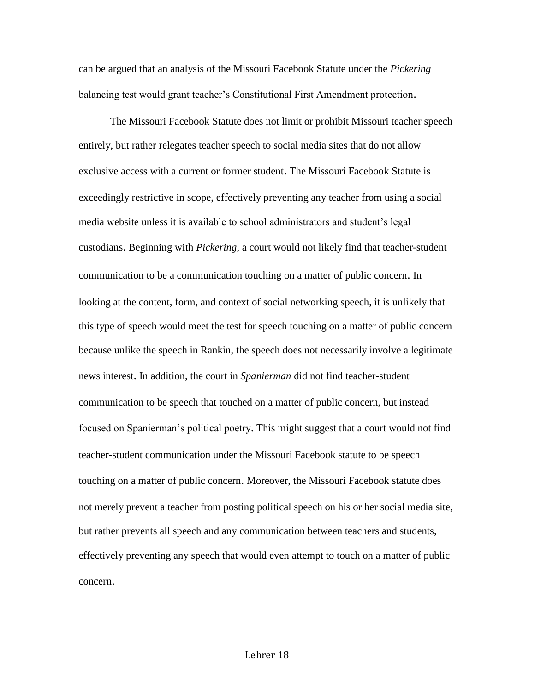can be argued that an analysis of the Missouri Facebook Statute under the *Pickering* balancing test would grant teacher's Constitutional First Amendment protection.

The Missouri Facebook Statute does not limit or prohibit Missouri teacher speech entirely, but rather relegates teacher speech to social media sites that do not allow exclusive access with a current or former student. The Missouri Facebook Statute is exceedingly restrictive in scope, effectively preventing any teacher from using a social media website unless it is available to school administrators and student's legal custodians. Beginning with *Pickering*, a court would not likely find that teacher-student communication to be a communication touching on a matter of public concern. In looking at the content, form, and context of social networking speech, it is unlikely that this type of speech would meet the test for speech touching on a matter of public concern because unlike the speech in Rankin, the speech does not necessarily involve a legitimate news interest. In addition, the court in *Spanierman* did not find teacher-student communication to be speech that touched on a matter of public concern, but instead focused on Spanierman's political poetry. This might suggest that a court would not find teacher-student communication under the Missouri Facebook statute to be speech touching on a matter of public concern. Moreover, the Missouri Facebook statute does not merely prevent a teacher from posting political speech on his or her social media site, but rather prevents all speech and any communication between teachers and students, effectively preventing any speech that would even attempt to touch on a matter of public concern.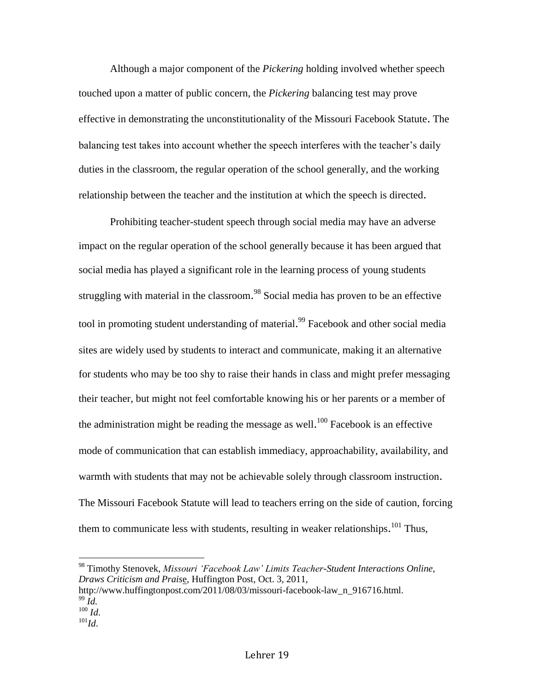Although a major component of the *Pickering* holding involved whether speech touched upon a matter of public concern, the *Pickering* balancing test may prove effective in demonstrating the unconstitutionality of the Missouri Facebook Statute. The balancing test takes into account whether the speech interferes with the teacher's daily duties in the classroom, the regular operation of the school generally, and the working relationship between the teacher and the institution at which the speech is directed.

Prohibiting teacher-student speech through social media may have an adverse impact on the regular operation of the school generally because it has been argued that social media has played a significant role in the learning process of young students struggling with material in the classroom.<sup>98</sup> Social media has proven to be an effective tool in promoting student understanding of material.<sup>99</sup> Facebook and other social media sites are widely used by students to interact and communicate, making it an alternative for students who may be too shy to raise their hands in class and might prefer messaging their teacher, but might not feel comfortable knowing his or her parents or a member of the administration might be reading the message as well.<sup>100</sup> Facebook is an effective mode of communication that can establish immediacy, approachability, availability, and warmth with students that may not be achievable solely through classroom instruction. The Missouri Facebook Statute will lead to teachers erring on the side of caution, forcing them to communicate less with students, resulting in weaker relationships.<sup>101</sup> Thus,

 $\overline{\phantom{a}}$ 

<sup>101</sup>*Id*.

<sup>98</sup> Timothy Stenovek, *Missouri 'Facebook Law' Limits Teacher-Student Interactions Online, Draws Criticism and Prais*e, Huffington Post, Oct. 3, 2011,

[http://www.huffingtonpost.com/2011/08/03/missouri-facebook-law\\_n\\_916716.html.](http://www.huffingtonpost.com/2011/08/03/missouri-facebook-law_n_916716.html) <sup>99</sup> *Id.*

 $^{100}$  *Id.*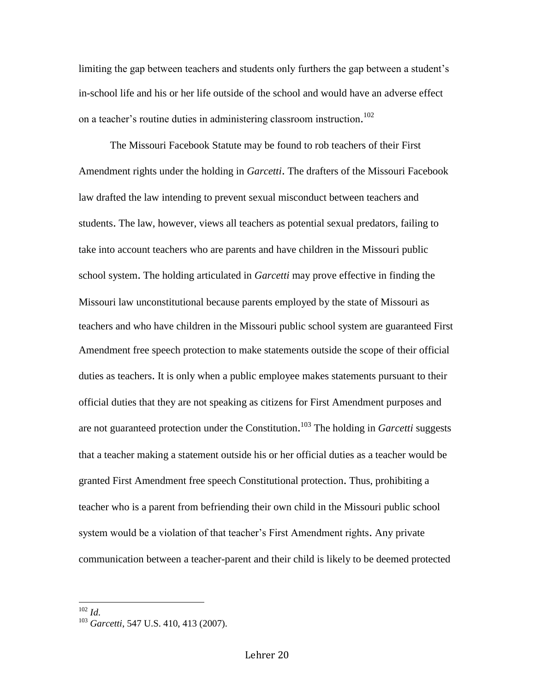limiting the gap between teachers and students only furthers the gap between a student's in-school life and his or her life outside of the school and would have an adverse effect on a teacher's routine duties in administering classroom instruction. 102

The Missouri Facebook Statute may be found to rob teachers of their First Amendment rights under the holding in *Garcetti*. The drafters of the Missouri Facebook law drafted the law intending to prevent sexual misconduct between teachers and students. The law, however, views all teachers as potential sexual predators, failing to take into account teachers who are parents and have children in the Missouri public school system. The holding articulated in *Garcetti* may prove effective in finding the Missouri law unconstitutional because parents employed by the state of Missouri as teachers and who have children in the Missouri public school system are guaranteed First Amendment free speech protection to make statements outside the scope of their official duties as teachers. It is only when a public employee makes statements pursuant to their official duties that they are not speaking as citizens for First Amendment purposes and are not guaranteed protection under the Constitution. <sup>103</sup> The holding in *Garcetti* suggests that a teacher making a statement outside his or her official duties as a teacher would be granted First Amendment free speech Constitutional protection. Thus, prohibiting a teacher who is a parent from befriending their own child in the Missouri public school system would be a violation of that teacher's First Amendment rights. Any private communication between a teacher-parent and their child is likely to be deemed protected

<sup>102</sup> *Id*.

l

<sup>103</sup> *Garcetti*, 547 U.S. 410, 413 (2007).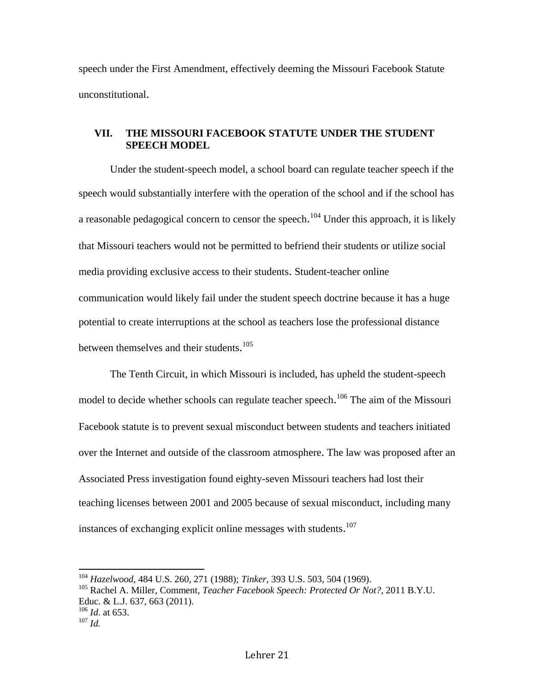speech under the First Amendment, effectively deeming the Missouri Facebook Statute unconstitutional.

# **VII. THE MISSOURI FACEBOOK STATUTE UNDER THE STUDENT SPEECH MODEL**

Under the student-speech model, a school board can regulate teacher speech if the speech would substantially interfere with the operation of the school and if the school has a reasonable pedagogical concern to censor the speech.<sup>104</sup> Under this approach, it is likely that Missouri teachers would not be permitted to befriend their students or utilize social media providing exclusive access to their students. Student-teacher online communication would likely fail under the student speech doctrine because it has a huge potential to create interruptions at the school as teachers lose the professional distance between themselves and their students.<sup>105</sup>

The Tenth Circuit, in which Missouri is included, has upheld the student-speech model to decide whether schools can regulate teacher speech.<sup>106</sup> The aim of the Missouri Facebook statute is to prevent sexual misconduct between students and teachers initiated over the Internet and outside of the classroom atmosphere. The law was proposed after an Associated Press investigation found eighty-seven Missouri teachers had lost their teaching licenses between 2001 and 2005 because of sexual misconduct, including many instances of exchanging explicit online messages with students.<sup>107</sup>

<sup>104</sup> *Hazelwood*, 484 U.S. 260, 271 (1988); *Tinker*, 393 U.S. 503, 504 (1969).

<sup>105</sup> Rachel A. Miller, Comment, *Teacher Facebook Speech: Protected Or Not?*, 2011 B.Y.U. Educ. & L.J. 637, 663 (2011). <sup>106</sup> *Id*. at 653.

<sup>107</sup> *Id.*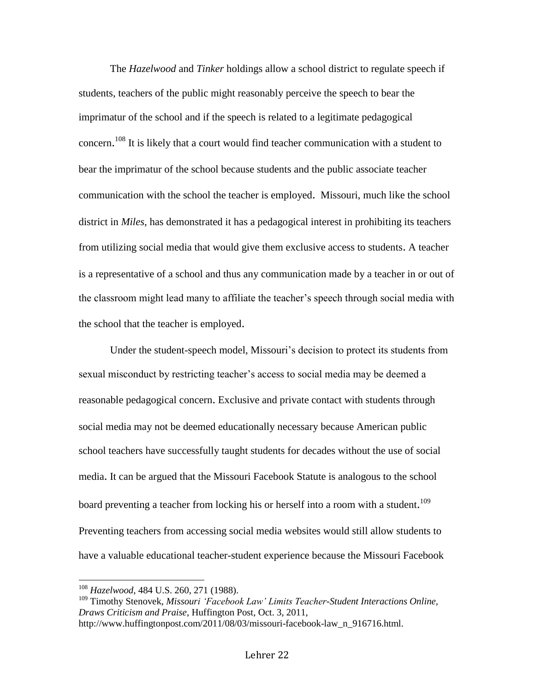The *Hazelwood* and *Tinker* holdings allow a school district to regulate speech if students, teachers of the public might reasonably perceive the speech to bear the imprimatur of the school and if the speech is related to a legitimate pedagogical concern.<sup>108</sup> It is likely that a court would find teacher communication with a student to bear the imprimatur of the school because students and the public associate teacher communication with the school the teacher is employed. Missouri, much like the school district in *Miles*, has demonstrated it has a pedagogical interest in prohibiting its teachers from utilizing social media that would give them exclusive access to students. A teacher is a representative of a school and thus any communication made by a teacher in or out of the classroom might lead many to affiliate the teacher's speech through social media with the school that the teacher is employed.

Under the student-speech model, Missouri's decision to protect its students from sexual misconduct by restricting teacher's access to social media may be deemed a reasonable pedagogical concern. Exclusive and private contact with students through social media may not be deemed educationally necessary because American public school teachers have successfully taught students for decades without the use of social media. It can be argued that the Missouri Facebook Statute is analogous to the school board preventing a teacher from locking his or herself into a room with a student.<sup>109</sup> Preventing teachers from accessing social media websites would still allow students to have a valuable educational teacher-student experience because the Missouri Facebook

<sup>108</sup> *Hazelwood*, 484 U.S. 260, 271 (1988).

<sup>&</sup>lt;sup>109</sup> Timothy Stenovek, *Missouri 'Facebook Law' Limits Teacher-Student Interactions Online, Draws Criticism and Praise*, Huffington Post, Oct. 3, 2011,

[http://www.huffingtonpost.com/2011/08/03/missouri-facebook-law\\_n\\_916716.html.](http://www.huffingtonpost.com/2011/08/03/missouri-facebook-law_n_916716.html)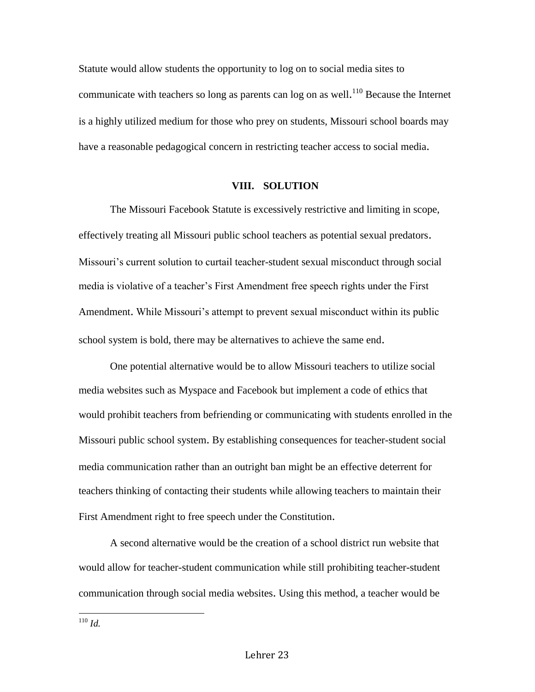Statute would allow students the opportunity to log on to social media sites to communicate with teachers so long as parents can log on as well.<sup>110</sup> Because the Internet is a highly utilized medium for those who prey on students, Missouri school boards may have a reasonable pedagogical concern in restricting teacher access to social media.

#### **VIII. SOLUTION**

The Missouri Facebook Statute is excessively restrictive and limiting in scope, effectively treating all Missouri public school teachers as potential sexual predators. Missouri's current solution to curtail teacher-student sexual misconduct through social media is violative of a teacher's First Amendment free speech rights under the First Amendment. While Missouri's attempt to prevent sexual misconduct within its public school system is bold, there may be alternatives to achieve the same end.

One potential alternative would be to allow Missouri teachers to utilize social media websites such as Myspace and Facebook but implement a code of ethics that would prohibit teachers from befriending or communicating with students enrolled in the Missouri public school system. By establishing consequences for teacher-student social media communication rather than an outright ban might be an effective deterrent for teachers thinking of contacting their students while allowing teachers to maintain their First Amendment right to free speech under the Constitution.

A second alternative would be the creation of a school district run website that would allow for teacher-student communication while still prohibiting teacher-student communication through social media websites. Using this method, a teacher would be

 $\overline{\phantom{a}}$ <sup>110</sup> *Id.*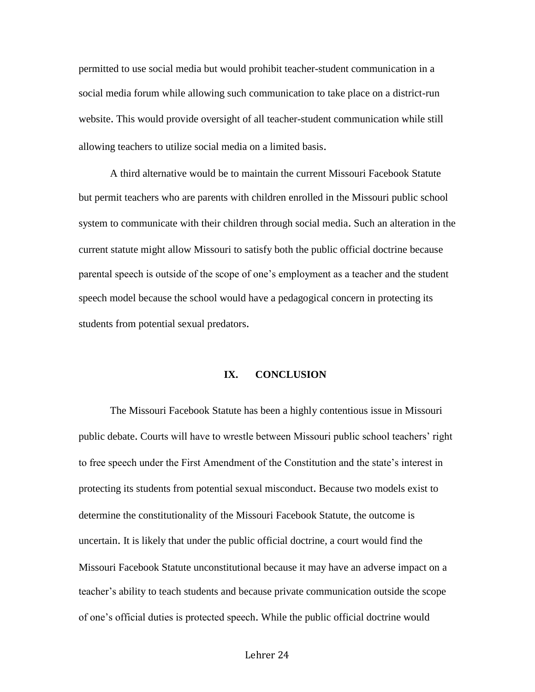permitted to use social media but would prohibit teacher-student communication in a social media forum while allowing such communication to take place on a district-run website. This would provide oversight of all teacher-student communication while still allowing teachers to utilize social media on a limited basis.

A third alternative would be to maintain the current Missouri Facebook Statute but permit teachers who are parents with children enrolled in the Missouri public school system to communicate with their children through social media. Such an alteration in the current statute might allow Missouri to satisfy both the public official doctrine because parental speech is outside of the scope of one's employment as a teacher and the student speech model because the school would have a pedagogical concern in protecting its students from potential sexual predators.

## **IX. CONCLUSION**

The Missouri Facebook Statute has been a highly contentious issue in Missouri public debate. Courts will have to wrestle between Missouri public school teachers' right to free speech under the First Amendment of the Constitution and the state's interest in protecting its students from potential sexual misconduct. Because two models exist to determine the constitutionality of the Missouri Facebook Statute, the outcome is uncertain. It is likely that under the public official doctrine, a court would find the Missouri Facebook Statute unconstitutional because it may have an adverse impact on a teacher's ability to teach students and because private communication outside the scope of one's official duties is protected speech. While the public official doctrine would